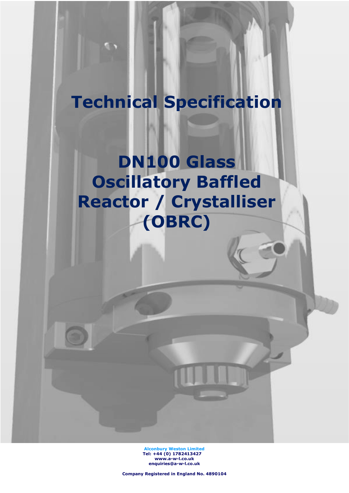# **Technical Specification**

**DN100 Glass Oscillatory Baffled Reactor / Crystalliser (OBRC)**

> **Alconbury Weston Limited Tel: +44 (0) 1782413427 [www.a-w-l.co.uk](http://www.a-w-l.co.uk/) enquiries@a-w-l.co.uk**

**Company Registered in England No. 4890104**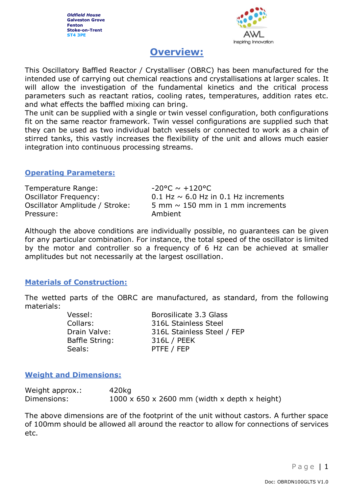*Oldfield House* **Galveston Grove Fenton Stoke-on-Trent ST4 3PE**



# **Overview:**

This Oscillatory Baffled Reactor / Crystalliser (OBRC) has been manufactured for the intended use of carrying out chemical reactions and crystallisations at larger scales. It will allow the investigation of the fundamental kinetics and the critical process parameters such as reactant ratios, cooling rates, temperatures, addition rates etc. and what effects the baffled mixing can bring.

The unit can be supplied with a single or twin vessel configuration, both configurations fit on the same reactor framework. Twin vessel configurations are supplied such that they can be used as two individual batch vessels or connected to work as a chain of stirred tanks, this vastly increases the flexibility of the unit and allows much easier integration into continuous processing streams.

#### **Operating Parameters:**

Temperature Range:  $-20^{\circ}C \sim +120^{\circ}C$ Oscillator Frequency:  $0.1$  Hz  $\sim$  6.0 Hz in 0.1 Hz increments Oscillator Amplitude / Stroke:  $5 \text{ mm} \sim 150 \text{ mm}$  in 1 mm increments Pressure: Ambient

Although the above conditions are individually possible, no guarantees can be given for any particular combination. For instance, the total speed of the oscillator is limited by the motor and controller so a frequency of 6 Hz can be achieved at smaller amplitudes but not necessarily at the largest oscillation.

# **Materials of Construction:**

The wetted parts of the OBRC are manufactured, as standard, from the following materials:

> Baffle String: 316L / PEEK Seals: PTFE / FEP

Vessel: Borosilicate 3.3 Glass Collars: 316L Stainless Steel Drain Valve: 316L Stainless Steel / FEP

# **Weight and Dimensions:**

| Weight approx.: | 420kg                                                     |
|-----------------|-----------------------------------------------------------|
| Dimensions:     | $1000 \times 650 \times 2600$ mm (width x depth x height) |

The above dimensions are of the footprint of the unit without castors. A further space of 100mm should be allowed all around the reactor to allow for connections of services etc.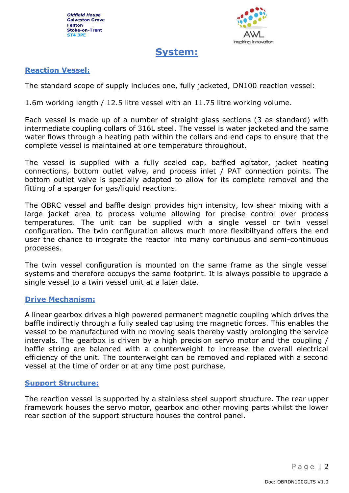

# **System:**

# **Reaction Vessel:**

The standard scope of supply includes one, fully jacketed, DN100 reaction vessel:

1.6m working length / 12.5 litre vessel with an 11.75 litre working volume.

Each vessel is made up of a number of straight glass sections (3 as standard) with intermediate coupling collars of 316L steel. The vessel is water jacketed and the same water flows through a heating path within the collars and end caps to ensure that the complete vessel is maintained at one temperature throughout.

The vessel is supplied with a fully sealed cap, baffled agitator, jacket heating connections, bottom outlet valve, and process inlet / PAT connection points. The bottom outlet valve is specially adapted to allow for its complete removal and the fitting of a sparger for gas/liquid reactions.

The OBRC vessel and baffle design provides high intensity, low shear mixing with a large jacket area to process volume allowing for precise control over process temperatures. The unit can be supplied with a single vessel or twin vessel configuration. The twin configuration allows much more flexibiltyand offers the end user the chance to integrate the reactor into many continuous and semi-continuous processes.

The twin vessel configuration is mounted on the same frame as the single vessel systems and therefore occupys the same footprint. It is always possible to upgrade a single vessel to a twin vessel unit at a later date.

#### **Drive Mechanism:**

A linear gearbox drives a high powered permanent magnetic coupling which drives the baffle indirectly through a fully sealed cap using the magnetic forces. This enables the vessel to be manufactured with no moving seals thereby vastly prolonging the service intervals. The gearbox is driven by a high precision servo motor and the coupling / baffle string are balanced with a counterweight to increase the overall electrical efficiency of the unit. The counterweight can be removed and replaced with a second vessel at the time of order or at any time post purchase.

#### **Support Structure:**

The reaction vessel is supported by a stainless steel support structure. The rear upper framework houses the servo motor, gearbox and other moving parts whilst the lower rear section of the support structure houses the control panel.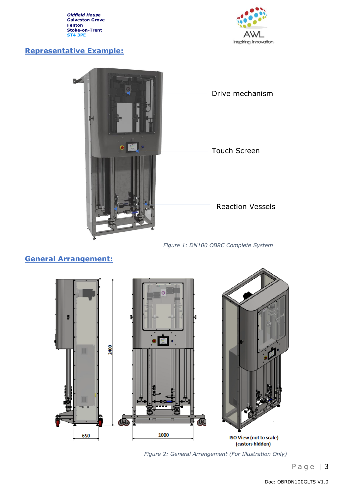*Oldfield House* **Galveston Grove Fenton Stoke-on-Trent ST4 3PE**

# **Representative Example:**





#### *Figure 1: DN100 OBRC Complete System*

# **General Arrangement:**



*Figure 2: General Arrangement (For Illustration Only)*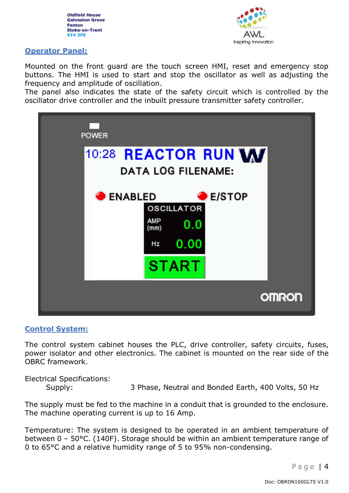



#### **Operator Panel:**

Mounted on the front guard are the touch screen HMI, reset and emergency stop buttons. The HMI is used to start and stop the oscillator as well as adjusting the frequency and amplitude of oscillation.

The panel also indicates the state of the safety circuit which is controlled by the oscillator drive controller and the inbuilt pressure transmitter safety controller.



#### **Control System:**

The control system cabinet houses the PLC, drive controller, safety circuits, fuses, power isolator and other electronics. The cabinet is mounted on the rear side of the OBRC framework.

Electrical Specifications: Supply: 3 Phase, Neutral and Bonded Earth, 400 Volts, 50 Hz

The supply must be fed to the machine in a conduit that is grounded to the enclosure. The machine operating current is up to 16 Amp.

Temperature: The system is designed to be operated in an ambient temperature of between 0 – 50°C. (140F). Storage should be within an ambient temperature range of 0 to 65°C and a relative humidity range of 5 to 95% non-condensing.

Page | 4